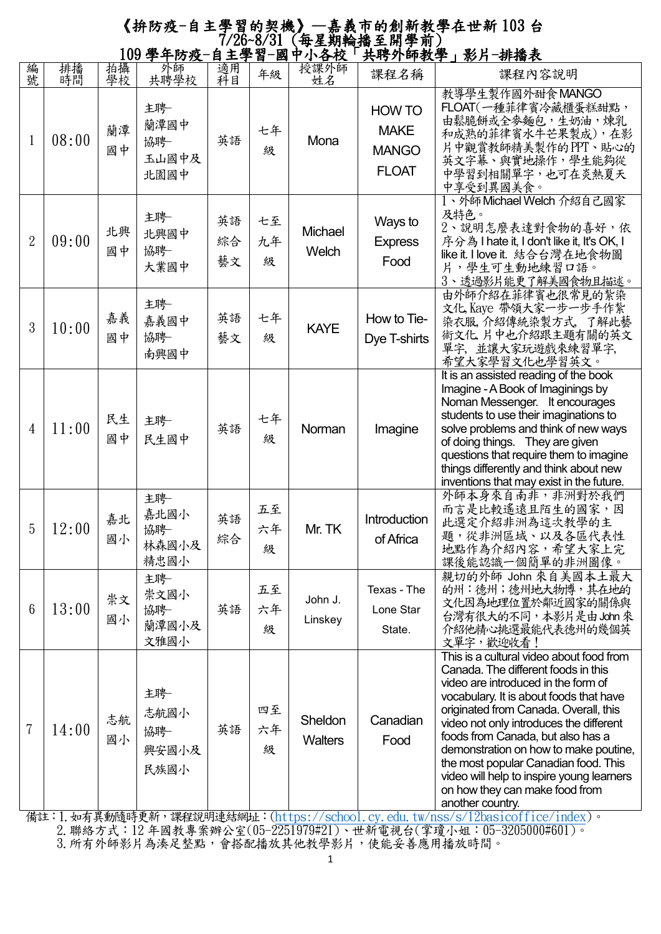## 《拚防疫-自主學習的契機》—嘉義市的創新教學在世新 103 台 7/26~8/31 (每星期輪播至開學前) 109 學年防疫-自主學習-國中小各校「共聘外師教學」影片-排播表

|                |          |          | 100千千以汉                           | 日 工 子 日        | ESIT          | <u> 472 1</u>             | 六竹기 吓我于」形丌                                                   | 切饰仪                                                                                                                                                                                                                                                                                                                                                                                                                                                                            |
|----------------|----------|----------|-----------------------------------|----------------|---------------|---------------------------|--------------------------------------------------------------|--------------------------------------------------------------------------------------------------------------------------------------------------------------------------------------------------------------------------------------------------------------------------------------------------------------------------------------------------------------------------------------------------------------------------------------------------------------------------------|
| 編<br>號         | 排播<br>時間 | 拍攝<br>學校 | 外師<br>共聘學校                        | 適用<br>科目       | 年級            | 授課外師<br>姓名                | 課程名稱                                                         | 課程內容說明                                                                                                                                                                                                                                                                                                                                                                                                                                                                         |
| $\mathbf 1$    | 08:00    | 蘭潭<br>國中 | 主聘<br>蘭潭國中<br>協聘<br>玉山國中及<br>北園國中 | 英語             | 七年<br>級       | Mona                      | <b>HOW TO</b><br><b>MAKE</b><br><b>MANGO</b><br><b>FLOAT</b> | 教導學生製作國外甜食MANGO<br>FLOAT(一種菲律賓冷藏櫃蛋糕甜點,<br>由鬆脆餅或全麥麵包,生奶油,煉乳<br>和成熟的菲律賓水牛芒果製成),在影<br>片中觀賞教師精美製作的PPT、貼心的<br>英文字幕、與實地操作,學生能夠從<br>中學習到相關單字,也可在炎熱夏天<br>中享受到異國美食。                                                                                                                                                                                                                                                                                                                     |
| 2              | 09:00    | 北興<br>國中 | 主聘<br>北興國中<br>協聘<br>大業國中          | 英語<br>綜合<br>藝文 | 七至<br>九年<br>級 | Michael<br>Welch          | Ways to<br><b>Express</b><br>Food                            | 1、外師 Michael Welch 介紹自己國家<br>及特色。<br>2、說明怎麼表達對食物的喜好,依<br>序分為 I hate it, I don't like it, It's OK, I<br>like it. I love it. 結合台灣在地食物圖<br>片,學生可生動地練習口語。<br>3、透過影片能更了解美國食物且描述。                                                                                                                                                                                                                                                                                                    |
| 3              | 10:00    | 嘉義<br>國中 | 主聘<br>嘉義國中<br>協聘<br>南興國中          | 英語<br>藝文       | 七年<br>級       | <b>KAYE</b>               | How to Tie-<br>Dye T-shirts                                  | 由外師介紹在菲律賓也很常見的紮染<br>文化,Kaye 帶領大家一步一步手作紮<br>染衣服,介紹傳統染製方式,了解此藝<br>術文化 片中也介紹跟主題有關的英文<br>單字,並讓大家玩遊戲來練習單字,<br>希望大家學習文化也學習英文。                                                                                                                                                                                                                                                                                                                                                        |
| 4              | 11:00    | 民生<br>國中 | 主聘<br>民生國中                        | 英語             | 七年<br>級       | Norman                    | Imagine                                                      | It is an assisted reading of the book<br>Imagine - A Book of Imaginings by<br>Noman Messenger. It encourages<br>students to use their imaginations to<br>solve problems and think of new ways<br>of doing things. They are given<br>questions that require them to imagine<br>things differently and think about new<br>inventions that may exist in the future.                                                                                                               |
| 5              | 12:00    | 嘉北<br>國小 | 主聘<br>嘉北國小<br>協聘<br>林森國小及<br>精忠國小 | 英語<br>綜合       | 五至<br>六年<br>級 | Mr. TK                    | Introduction<br>of Africa                                    | 外師本身來自南非,非洲對於我們<br>而言是比較遙遠且陌生的國家,因<br>此選定介紹非洲為這次教學的主<br>題,從非洲區域、以及各區代表性<br>地點作為介紹內容,希望大家上完<br>課後能認識一個簡單的非洲圖像。                                                                                                                                                                                                                                                                                                                                                                  |
| 6              | 13:00    | 崇文<br>國小 | 主聘<br>崇文國小<br>協聘<br>蘭潭國小及<br>文雅國小 | 英語             | 五至<br>六年<br>級 | John J.<br>Linskey        | Texas - The<br>Lone Star<br>State.                           | 親切的外師 John 來自美國本土最大<br>的州:德州;德州地大物博,其在地的<br>文化因為地理位置於鄰近國家的關係與<br>台灣有很大的不同,本影片是由 John 來<br>介紹他精心挑選最能代表德州的幾個英<br>文單字,歡迎收看!                                                                                                                                                                                                                                                                                                                                                       |
| $\overline{7}$ | 14:00    | 志航<br>國小 | 主聘<br>志航國小<br>協聘<br>興安國小及<br>民族國小 | 英語             | 四至<br>六年<br>級 | Sheldon<br><b>Walters</b> | Canadian<br>Food                                             | This is a cultural video about food from<br>Canada. The different foods in this<br>video are introduced in the form of<br>vocabulary. It is about foods that have<br>originated from Canada. Overall, this<br>video not only introduces the different<br>foods from Canada, but also has a<br>demonstration on how to make poutine,<br>the most popular Canadian food. This<br>video will help to inspire young learners<br>on how they can make food from<br>another country. |

備註:1.如有異動隨時更新,課程說明連結網址:[\(https://school.cy.edu.tw/nss/s/12basicoffice/index\)](https://school.cy.edu.tw/nss/s/12basicoffice/index)。 2.聯絡方式:12 年國教專案辦公室(05-2251979#21)、世新電視台(掌瓊小姐:05-3205000#601)。 3.所有外師影片為湊足整點,會搭配播放其他教學影片,使能妥善應用播放時間。